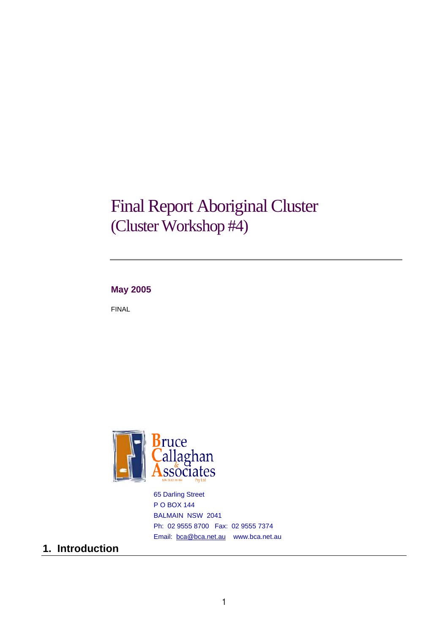# Final Report Aboriginal Cluster (Cluster Workshop #4)

### **May 2005**

FINAL



65 Darling Street P O BOX 144 BALMAIN NSW 2041 Ph: 02 9555 8700 Fax: 02 9555 7374 Email: bca@bca.net.au www.bca.net.au

### **1. Introduction**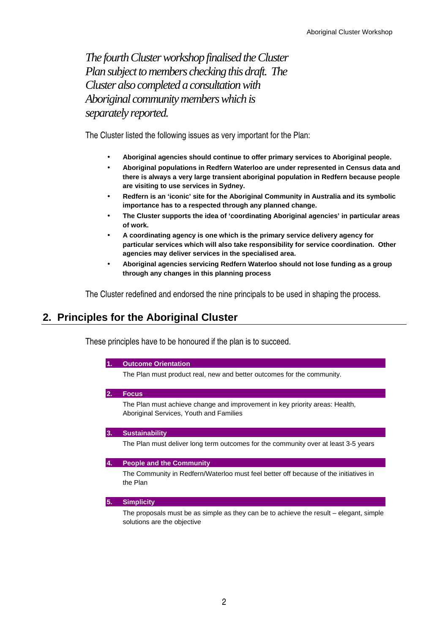*The fourth Cluster workshop finalised the Cluster Plan subject to members checking this draft. The Cluster also completed a consultation with Aboriginal community members which is separately reported.* 

The Cluster listed the following issues as very important for the Plan:

- **Aboriginal agencies should continue to offer primary services to Aboriginal people.**
- **Aboriginal populations in Redfern Waterloo are under represented in Census data and there is always a very large transient aboriginal population in Redfern because people are visiting to use services in Sydney.**
- **Redfern is an 'iconic' site for the Aboriginal Community in Australia and its symbolic importance has to a respected through any planned change.**
- **The Cluster supports the idea of 'coordinating Aboriginal agencies' in particular areas of work.**
- **A coordinating agency is one which is the primary service delivery agency for particular services which will also take responsibility for service coordination. Other agencies may deliver services in the specialised area.**
- **Aboriginal agencies servicing Redfern Waterloo should not lose funding as a group through any changes in this planning process**

The Cluster redefined and endorsed the nine principals to be used in shaping the process.

### **2. Principles for the Aboriginal Cluster**

These principles have to be honoured if the plan is to succeed.

#### **1. Outcome Orientation**

The Plan must product real, new and better outcomes for the community.

**2. Focus** 

 The Plan must achieve change and improvement in key priority areas: Health, Aboriginal Services, Youth and Families

### **3. Sustainability**

The Plan must deliver long term outcomes for the community over at least 3-5 years

#### **4. People and the Community**

 The Community in Redfern/Waterloo must feel better off because of the initiatives in the Plan

#### **5. Simplicity**

 The proposals must be as simple as they can be to achieve the result – elegant, simple solutions are the objective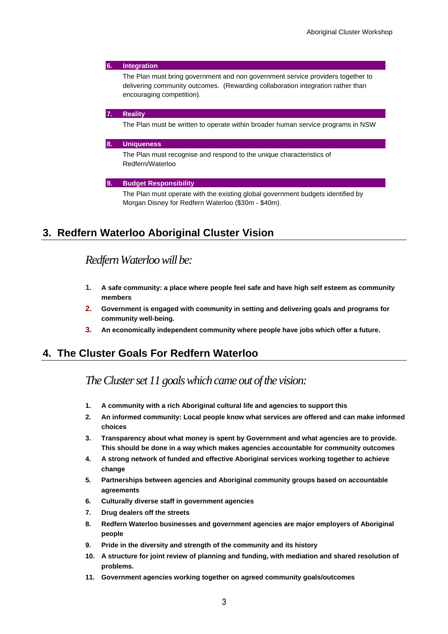### **6. Integration**  The Plan must bring government and non government service providers together to delivering community outcomes. (Rewarding collaboration integration rather than encouraging competition). **7. Reality**

The Plan must be written to operate within broader human service programs in NSW

#### **8. Uniqueness**

 The Plan must recognise and respond to the unique characteristics of Redfern/Waterloo

#### **9. Budget Responsibility**

 The Plan must operate with the existing global government budgets identified by Morgan Disney for Redfern Waterloo (\$30m - \$40m).

### **3. Redfern Waterloo Aboriginal Cluster Vision**

### *Redfern Waterloo will be:*

- **1. A safe community: a place where people feel safe and have high self esteem as community members**
- **2. Government is engaged with community in setting and delivering goals and programs for community well-being.**
- **3. An economically independent community where people have jobs which offer a future.**

### **4. The Cluster Goals For Redfern Waterloo**

### *The Cluster set 11 goals which came out of the vision:*

- **1. A community with a rich Aboriginal cultural life and agencies to support this**
- **2. An informed community: Local people know what services are offered and can make informed choices**
- **3. Transparency about what money is spent by Government and what agencies are to provide. This should be done in a way which makes agencies accountable for community outcomes**
- **4. A strong network of funded and effective Aboriginal services working together to achieve change**
- **5. Partnerships between agencies and Aboriginal community groups based on accountable agreements**
- **6. Culturally diverse staff in government agencies**
- **7. Drug dealers off the streets**
- **8. Redfern Waterloo businesses and government agencies are major employers of Aboriginal people**
- **9. Pride in the diversity and strength of the community and its history**
- **10. A structure for joint review of planning and funding, with mediation and shared resolution of problems.**
- **11. Government agencies working together on agreed community goals/outcomes**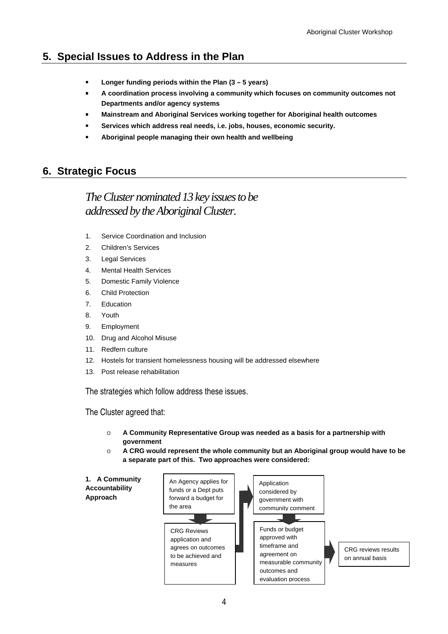## **5. Special Issues to Address in the Plan**

- **Longer funding periods within the Plan (3 5 years)**
- **A coordination process involving a community which focuses on community outcomes not Departments and/or agency systems**
- **Mainstream and Aboriginal Services working together for Aboriginal health outcomes**
- **Services which address real needs, i.e. jobs, houses, economic security.**
- **Aboriginal people managing their own health and wellbeing**

### **6. Strategic Focus**

# *The Cluster nominated 13 key issues to be addressed by the Aboriginal Cluster.*

- 1. Service Coordination and Inclusion
- 2. Children's Services
- 3. Legal Services
- 4. Mental Health Services
- 5. Domestic Family Violence
- 6. Child Protection
- 7. Education
- 8. Youth
- 9. Employment
- 10. Drug and Alcohol Misuse
- 11. Redfern culture
- 12. Hostels for transient homelessness housing will be addressed elsewhere
- 13. Post release rehabilitation

The strategies which follow address these issues.

The Cluster agreed that:

- o **A Community Representative Group was needed as a basis for a partnership with government**
- o **A CRG would represent the whole community but an Aboriginal group would have to be a separate part of this. Two approaches were considered:**

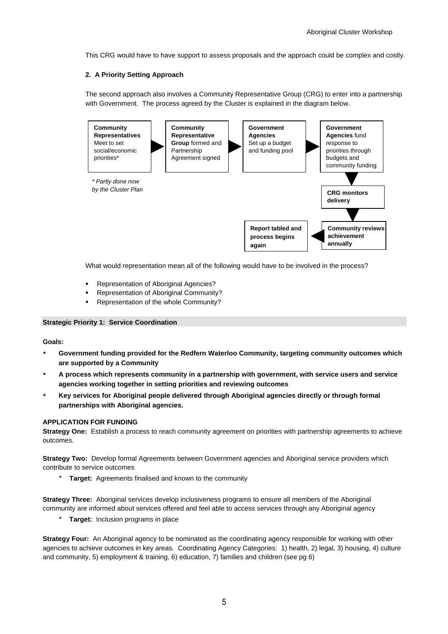This CRG would have to have support to assess proposals and the approach could be complex and costly.

### **2. A Priority Setting Approach**

The second approach also involves a Community Representative Group (CRG) to enter into a partnership with Government. The process agreed by the Cluster is explained in the diagram below.



What would representation mean all of the following would have to be involved in the process?

- Representation of Aboriginal Agencies?
- Representation of Aboriginal Community?
- Representation of the whole Community?

#### **Strategic Priority 1: Service Coordination**

**Goals:** 

- - **Government funding provided for the Redfern Waterloo Community, targeting community outcomes which are supported by a Community**
- - **A process which represents community in a partnership with government, with service users and service agencies working together in setting priorities and reviewing outcomes**
- - **Key services for Aboriginal people delivered through Aboriginal agencies directly or through formal partnerships with Aboriginal agencies.**

#### **APPLICATION FOR FUNDING**

**Strategy One:** Establish a process to reach community agreement on priorities with partnership agreements to achieve outcomes.

**Strategy Two:** Develop formal Agreements between Government agencies and Aboriginal service providers which contribute to service outcomes

**Target:** Agreements finalised and known to the community

**Strategy Three:** Aboriginal services develop inclusiveness programs to ensure all members of the Aboriginal community are informed about services offered and feel able to access services through any Aboriginal agency

**Target:** Inclusion programs in place

**Strategy Four:** An Aboriginal agency to be nominated as the coordinating agency responsible for working with other agencies to achieve outcomes in key areas. Coordinating Agency Categories: 1) health, 2) legal, 3) housing, 4) culture and community, 5) employment & training, 6) education, 7) families and children (see pg 6)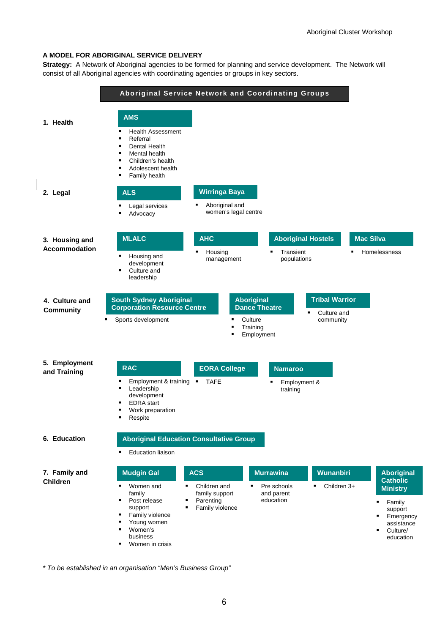#### **A MODEL FOR ABORIGINAL SERVICE DELIVERY**

**Strategy:** A Network of Aboriginal agencies to be formed for planning and service development. The Network will consist of all Aboriginal agencies with coordinating agencies or groups in key sectors.



\* To be established in an organisation "Men's Business Group"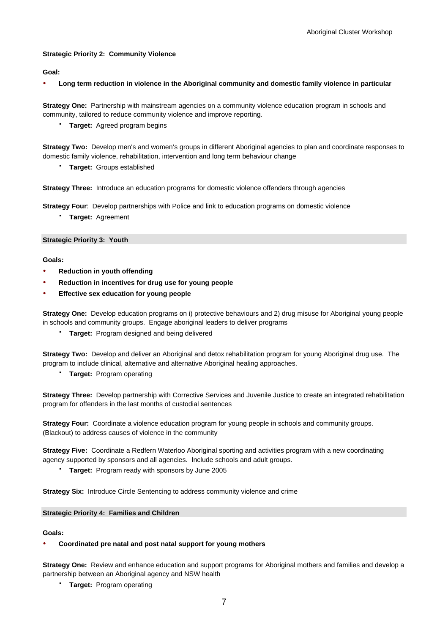#### **Strategic Priority 2: Community Violence**

#### **Goal:**

-**Long term reduction in violence in the Aboriginal community and domestic family violence in particular**

**Strategy One:** Partnership with mainstream agencies on a community violence education program in schools and community, tailored to reduce community violence and improve reporting.

**Target:** Agreed program begins

**Strategy Two:** Develop men's and women's groups in different Aboriginal agencies to plan and coordinate responses to domestic family violence, rehabilitation, intervention and long term behaviour change

**Target:** Groups established

**Strategy Three:** Introduce an education programs for domestic violence offenders through agencies

**Strategy Four**: Develop partnerships with Police and link to education programs on domestic violence

**Target:** Agreement

#### **Strategic Priority 3: Youth**

#### **Goals:**

- -**Reduction in youth offending**
- -**Reduction in incentives for drug use for young people**
- -**Effective sex education for young people**

**Strategy One:** Develop education programs on i) protective behaviours and 2) drug misuse for Aboriginal young people in schools and community groups. Engage aboriginal leaders to deliver programs

**Target:** Program designed and being delivered

**Strategy Two:** Develop and deliver an Aboriginal and detox rehabilitation program for young Aboriginal drug use. The program to include clinical, alternative and alternative Aboriginal healing approaches.

**Target:** Program operating

**Strategy Three:** Develop partnership with Corrective Services and Juvenile Justice to create an integrated rehabilitation program for offenders in the last months of custodial sentences

**Strategy Four:** Coordinate a violence education program for young people in schools and community groups. (Blackout) to address causes of violence in the community

**Strategy Five:** Coordinate a Redfern Waterloo Aboriginal sporting and activities program with a new coordinating agency supported by sponsors and all agencies. Include schools and adult groups.

**Target:** Program ready with sponsors by June 2005

**Strategy Six:** Introduce Circle Sentencing to address community violence and crime

#### **Strategic Priority 4: Families and Children**

#### **Goals:**

#### -**Coordinated pre natal and post natal support for young mothers**

**Strategy One:** Review and enhance education and support programs for Aboriginal mothers and families and develop a partnership between an Aboriginal agency and NSW health

**Target:** Program operating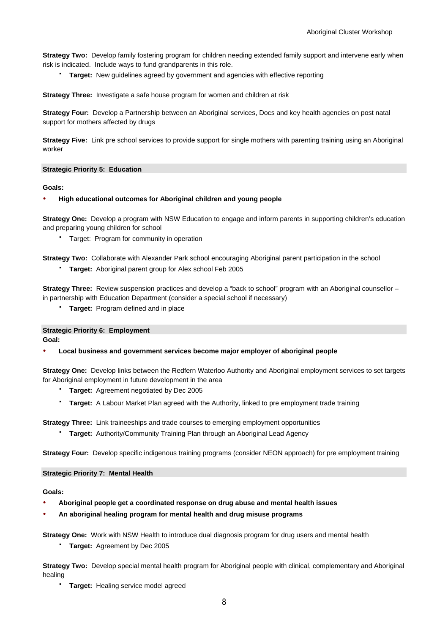**Strategy Two:** Develop family fostering program for children needing extended family support and intervene early when risk is indicated. Include ways to fund grandparents in this role.

**Target:** New guidelines agreed by government and agencies with effective reporting

**Strategy Three:** Investigate a safe house program for women and children at risk

**Strategy Four:** Develop a Partnership between an Aboriginal services, Docs and key health agencies on post natal support for mothers affected by drugs

**Strategy Five:** Link pre school services to provide support for single mothers with parenting training using an Aboriginal worker

#### **Strategic Priority 5: Education**

#### **Goals:**

#### -**High educational outcomes for Aboriginal children and young people**

**Strategy One:** Develop a program with NSW Education to engage and inform parents in supporting children's education and preparing young children for school

Target: Program for community in operation

**Strategy Two:** Collaborate with Alexander Park school encouraging Aboriginal parent participation in the school

**Target:** Aboriginal parent group for Alex school Feb 2005

**Strategy Three:** Review suspension practices and develop a "back to school" program with an Aboriginal counsellor – in partnership with Education Department (consider a special school if necessary)

**Target:** Program defined and in place

**Strategic Priority 6: Employment Goal:** 

-**Local business and government services become major employer of aboriginal people** 

**Strategy One:** Develop links between the Redfern Waterloo Authority and Aboriginal employment services to set targets for Aboriginal employment in future development in the area

- **Target:** Agreement negotiated by Dec 2005
- **Target:** A Labour Market Plan agreed with the Authority, linked to pre employment trade training

**Strategy Three:** Link traineeships and trade courses to emerging employment opportunities

**Target:** Authority/Community Training Plan through an Aboriginal Lead Agency

**Strategy Four:** Develop specific indigenous training programs (consider NEON approach) for pre employment training

#### **Strategic Priority 7: Mental Health**

**Goals:** 

- -**Aboriginal people get a coordinated response on drug abuse and mental health issues**
- -**An aboriginal healing program for mental health and drug misuse programs**

**Strategy One:** Work with NSW Health to introduce dual diagnosis program for drug users and mental health

**Target:** Agreement by Dec 2005

**Strategy Two:** Develop special mental health program for Aboriginal people with clinical, complementary and Aboriginal healing

**Target:** Healing service model agreed